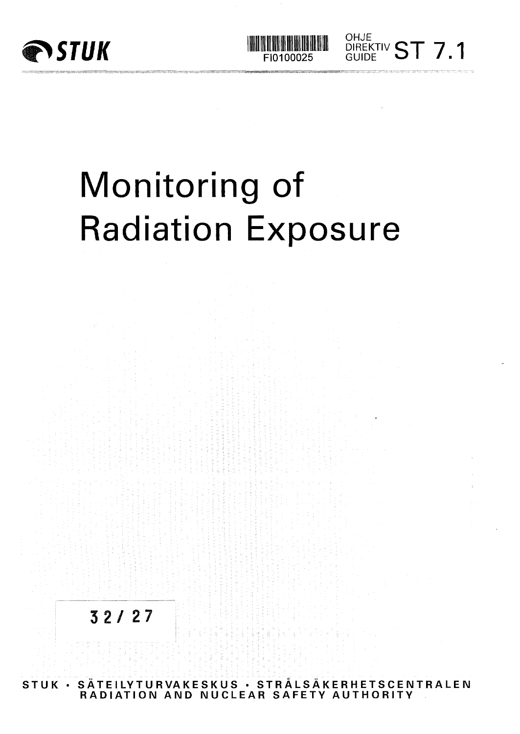

# Monitoring of Radiation Exposure

FI0100025

OHJE

DIREKTIV  $\textsf{CT}$   $\textsf{7}$ GUIDE **O I** /



**STUK • SATEILYTURVAKESKUS • STRALSAKERHETSCENTRALEN RADIATION AND NUCLEAR SAFETY AUTHORITY**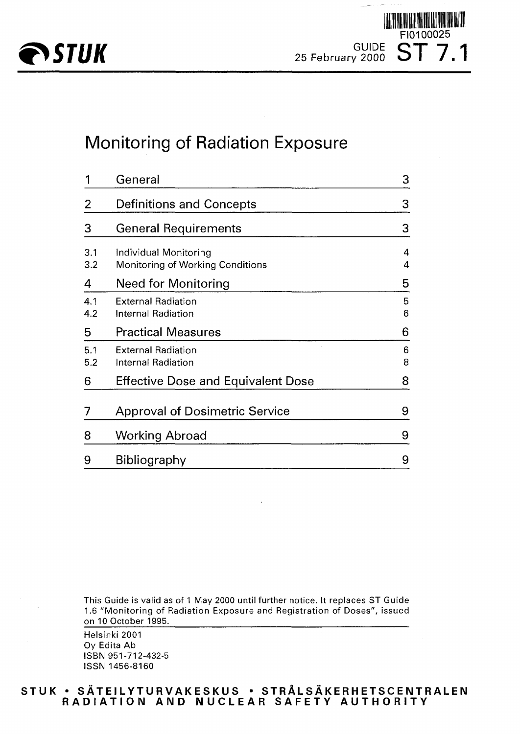

**ASTUK** 25 February 2000 ST 7.1 FI0100025

## Monitoring of Radiation Exposure

|            | General                                                   | 3      |
|------------|-----------------------------------------------------------|--------|
| 2          | <b>Definitions and Concepts</b>                           | 3      |
| 3          | <b>General Requirements</b>                               | 3      |
| 3.1<br>3.2 | Individual Monitoring<br>Monitoring of Working Conditions | 4<br>4 |
| 4          | Need for Monitoring                                       | 5      |
| 4.1<br>4.2 | <b>External Radiation</b><br>Internal Radiation           | 5<br>6 |
| 5          | <b>Practical Measures</b>                                 | 6      |
| 5.1<br>5.2 | <b>External Radiation</b><br>Internal Radiation           | 6<br>8 |
| 6          | <b>Effective Dose and Equivalent Dose</b>                 | 8      |
| 7          | <b>Approval of Dosimetric Service</b>                     | 9      |
| 8          | Working Abroad                                            | 9      |
| 9          | Bibliography                                              | 9      |

This Guide is valid as of 1 May 2000 until further notice. It replaces ST Guide 1.6 "Monitoring of Radiation Exposure and Registration of Doses", issued on 10 October 1995.

Helsinki 2001 Oy Edita Ab ISBN 951-712-432-5 ISSN 1456-8160

#### **STU K • SATEILYTURVAKESKU S • STRALSAKERHETSCENTRALE N RADIATIO N AN D NUCLEA R SAFET Y AUTHORIT Y**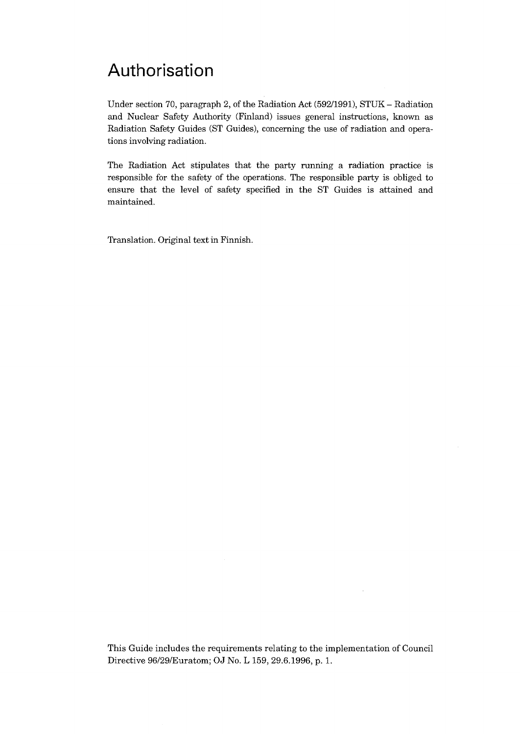## Authorisation

Under section 70, paragraph 2, of the Radiation Act (592/1991), STUK - Radiation and Nuclear Safety Authority (Finland) issues general instructions, known as Radiation Safety Guides (ST Guides), concerning the use of radiation and operations involving radiation.

The Radiation Act stipulates that the party running a radiation practice is responsible for the safety of the operations. The responsible party is obliged to ensure that the level of safety specified in the ST Guides is attained and maintained.

Translation. Original text in Finnish.

This Guide includes the requirements relating to the implementation of Council Directive 96/29/Euratom; OJ No. L 159, 29.6.1996, p. 1.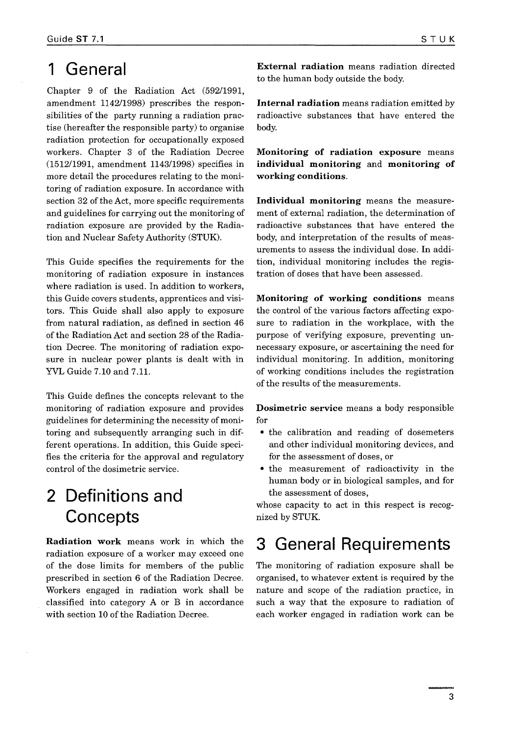#### 1 General

Chapter 9 of the Radiation Act (592/1991, amendment 1142/1998) prescribes the responsibilities of the party running a radiation practise (hereafter the responsible party) to organise radiation protection for occupationally exposed workers. Chapter 3 of the Radiation Decree (1512/1991, amendment 1143/1998) specifies in more detail the procedures relating to the monitoring of radiation exposure. In accordance with section 32 of the Act, more specific requirements and guidelines for carrying out the monitoring of radiation exposure are provided by the Radiation and Nuclear Safety Authority (STUK).

This Guide specifies the requirements for the monitoring of radiation exposure in instances where radiation is used. In addition to workers, this Guide covers students, apprentices and visitors. This Guide shall also apply to exposure from natural radiation, as defined in section 46 of the Radiation Act and section 28 of the Radiation Decree. The monitoring of radiation exposure in nuclear power plants is dealt with in YVL Guide 7.10 and 7.11.

This Guide defines the concepts relevant to the monitoring of radiation exposure and provides guidelines for determining the necessity of monitoring and subsequently arranging such in different operations. In addition, this Guide specifies the criteria for the approval and regulatory control of the dosimetric service.

## 2 Definitions and **Concepts**

**Radiation work** means work in which the radiation exposure of a worker may exceed one of the dose limits for members of the public prescribed in section 6 of the Radiation Decree. Workers engaged in radiation work shall be classified into category A or B in accordance with section 10 of the Radiation Decree.

**External radiation** means radiation directed to the human body outside the body.

**Internal radiation** means radiation emitted by radioactive substances that have entered the body.

**Monitoring of radiation exposure** means **individual monitoring** and **monitoring of working conditions.**

**Individual monitoring** means the measurement of external radiation, the determination of radioactive substances that have entered the body, and interpretation of the results of measurements to assess the individual dose. In addition, individual monitoring includes the registration of doses that have been assessed.

**Monitoring of working conditions** means the control of the various factors affecting exposure to radiation in the workplace, with the purpose of verifying exposure, preventing unnecessary exposure, or ascertaining the need for individual monitoring. In addition, monitoring of working conditions includes the registration of the results of the measurements.

**Dosimetric service** means a body responsible for

- the calibration and reading of dosemeters and other individual monitoring devices, and for the assessment of doses, or
- the measurement of radioactivity in the human body or in biological samples, and for the assessment of doses,

whose capacity to act in this respect is recognized by STUK.

### 3 General Requirements

The monitoring of radiation exposure shall be organised, to whatever extent is required by the nature and scope of the radiation practice, in such a way that the exposure to radiation of each worker engaged in radiation work can be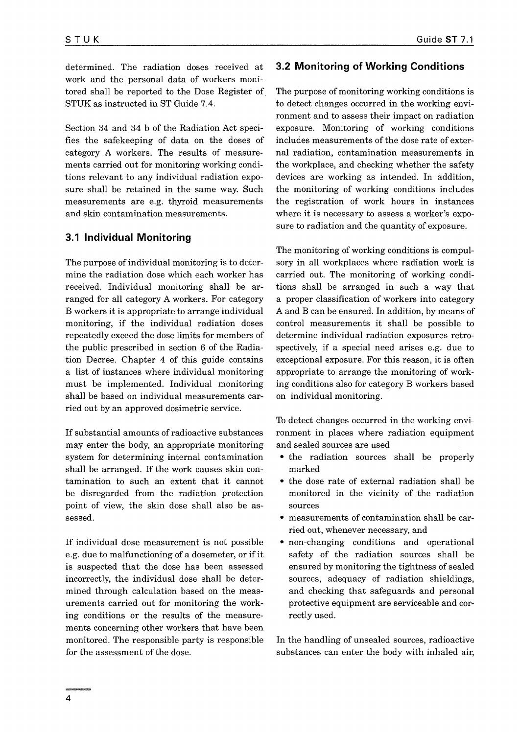determined. The radiation doses received at work and the personal data of workers monitored shall be reported to the Dose Register of STUK as instructed in ST Guide 7.4.

Section 34 and 34 b of the Radiation Act specifies the safekeeping of data on the doses of category A workers. The results of measurements carried out for monitoring working conditions relevant to any individual radiation exposure shall be retained in the same way. Such measurements are e.g. thyroid measurements and skin contamination measurements.

#### 3.1 Individual Monitoring

The purpose of individual monitoring is to determine the radiation dose which each worker has received. Individual monitoring shall be arranged for all category A workers. For category B workers it is appropriate to arrange individual monitoring, if the individual radiation doses repeatedly exceed the dose limits for members of the public prescribed in section 6 of the Radiation Decree. Chapter 4 of this guide contains a list of instances where individual monitoring must be implemented. Individual monitoring shall be based on individual measurements carried out by an approved dosimetric service.

If substantial amounts of radioactive substances may enter the body, an appropriate monitoring system for determining internal contamination shall be arranged. If the work causes skin contamination to such an extent that it cannot be disregarded from the radiation protection point of view, the skin dose shall also be assessed.

If individual dose measurement is not possible e.g. due to malfunctioning of a dosemeter, or if it is suspected that the dose has been assessed incorrectly, the individual dose shall be determined through calculation based on the measurements carried out for monitoring the working conditions or the results of the measurements concerning other workers that have been monitored. The responsible party is responsible for the assessment of the dose.

#### 3.2 Monitoring of Working Conditions

The purpose of monitoring working conditions is to detect changes occurred in the working environment and to assess their impact on radiation exposure. Monitoring of working conditions includes measurements of the dose rate of external radiation, contamination measurements in the workplace, and checking whether the safety devices are working as intended. In addition, the monitoring of working conditions includes the registration of work hours in instances where it is necessary to assess a worker's exposure to radiation and the quantity of exposure.

The monitoring of working conditions is compulsory in all workplaces where radiation work is carried out. The monitoring of working conditions shall be arranged in such a way that a proper classification of workers into category A and B can be ensured. In addition, by means of control measurements it shall be possible to determine individual radiation exposures retrospectively, if a special need arises e.g. due to exceptional exposure. For this reason, it is often appropriate to arrange the monitoring of working conditions also for category B workers based on individual monitoring.

To detect changes occurred in the working environment in places where radiation equipment and sealed sources are used

- the radiation sources shall be properly marked
- the dose rate of external radiation shall be monitored in the vicinity of the radiation sources
- measurements of contamination shall be carried out, whenever necessary, and
- non-changing conditions and operational safety of the radiation sources shall be ensured by monitoring the tightness of sealed sources, adequacy of radiation shieldings, and checking that safeguards and personal protective equipment are serviceable and correctly used.

In the handling of unsealed sources, radioactive substances can enter the body with inhaled air,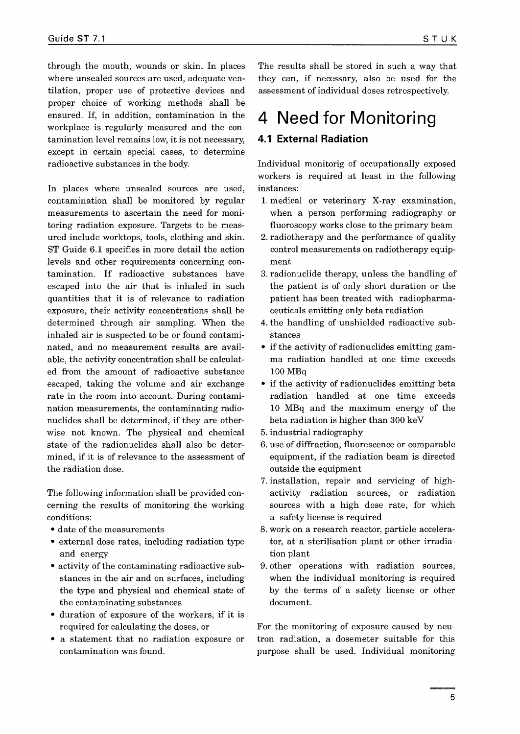through the mouth, wounds or skin. In places where unsealed sources are used, adequate ventilation, proper use of protective devices and proper choice of working methods shall be ensured. If, in addition, contamination in the workplace is regularly measured and the contamination level remains low, it is not necessary, except in certain special cases, to determine radioactive substances in the body.

In places where unsealed sources are used, contamination shall be monitored by regular measurements to ascertain the need for monitoring radiation exposure. Targets to be measured include worktops, tools, clothing and skin. ST Guide 6.1 specifies in more detail the action levels and other requirements concerning contamination. If radioactive substances have escaped into the air that is inhaled in such quantities that it is of relevance to radiation exposure, their activity concentrations shall be determined through air sampling. When the inhaled air is suspected to be or found contaminated, and no measurement results are available, the activity concentration shall be calculated from the amount of radioactive substance escaped, taking the volume and air exchange rate in the room into account. During contamination measurements, the contaminating radionuclides shall be determined, if they are otherwise not known. The physical and chemical state of the radionuclides shall also be determined, if it is of relevance to the assessment of the radiation dose.

The following information shall be provided concerning the results of monitoring the working conditions:

- date of the measurements
- external dose rates, including radiation type and energy
- activity of the contaminating radioactive substances in the air and on surfaces, including the type and physical and chemical state of the contaminating substances
- duration of exposure of the workers, if it is required for calculating the doses, or
- a statement that no radiation exposure or contamination was found.

The results shall be stored in such a way that they can, if necessary, also be used for the assessment of individual doses retrospectively.

## 4 Need for Monitoring

#### 4.1 External Radiation

Individual monitorig of occupationally exposed workers is required at least in the following instances:

- 1. medical or veterinary X-ray examination, when a person performing radiography or fluoroscopy works close to the primary beam
- 2. radiotherapy and the performance of quality control measurements on radiotherapy equipment
- 3. radionuclide therapy, unless the handling of the patient is of only short duration or the patient has been treated with radiopharmaceuticals emitting only beta radiation
- 4. the handling of unshielded radioactive substances
- if the activity of radionuclides emitting gamma radiation handled at one time exceeds 100 MBq
- if the activity of radionuclides emitting beta radiation handled at one time exceeds 10 MBq and the maximum energy of the beta radiation is higher than 300 keV
- 5. industrial radiography
- 6. use of diffraction, fluorescence or comparable equipment, if the radiation beam is directed outside the equipment
- 7. installation, repair and servicing of highactivity radiation sources, or radiation sources with a high dose rate, for which a safety license is required
- 8. work on a research reactor, particle accelerator, at a sterilisation plant or other irradiation plant
- 9. other operations with radiation sources, when the individual monitoring is required by the terms of a safety license or other document.

For the monitoring of exposure caused by neutron radiation, a dosemeter suitable for this purpose shall be used. Individual monitoring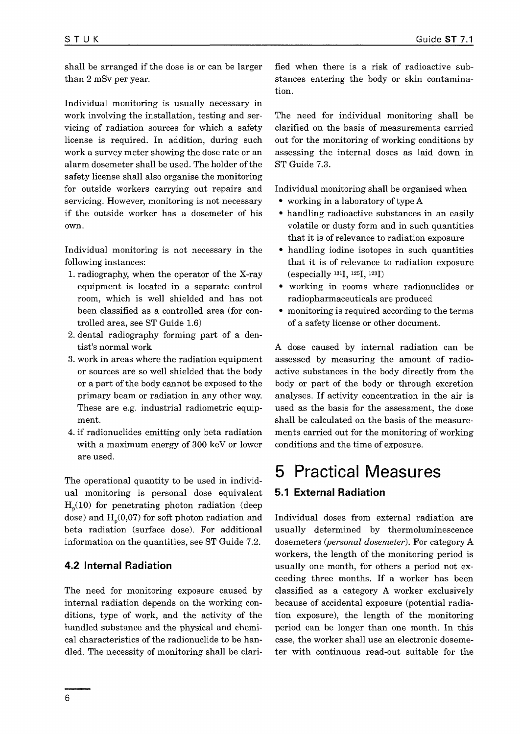shall be arranged if the dose is or can be larger than 2 mSv per year.

Individual monitoring is usually necessary in work involving the installation, testing and servicing of radiation sources for which a safety license is required. In addition, during such work a survey meter showing the dose rate or an alarm dosemeter shall be used. The holder of the safety license shall also organise the monitoring for outside workers carrying out repairs and servicing. However, monitoring is not necessary if the outside worker has a dosemeter of his own.

Individual monitoring is not necessary in the following instances:

- 1. radiography, when the operator of the X-ray equipment is located in a separate control room, which is well shielded and has not been classified as a controlled area (for controlled area, see ST Guide 1.6)
- 2. dental radiography forming part of a dentist's normal work
- 3. work in areas where the radiation equipment or sources are so well shielded that the body or a part of the body cannot be exposed to the primary beam or radiation in any other way. These are e.g. industrial radiometric equipment.
- 4. if radionuclides emitting only beta radiation with a maximum energy of 300 keV or lower are used.

The operational quantity to be used in individual monitoring is personal dose equivalent  $H<sub>n</sub>(10)$  for penetrating photon radiation (deep dose) and  $H<sub>0</sub>(0,07)$  for soft photon radiation and beta radiation (surface dose). For additional information on the quantities, see ST Guide 7.2.

#### 4.2 Internal Radiation

The need for monitoring exposure caused by internal radiation depends on the working conditions, type of work, and the activity of the handled substance and the physical and chemical characteristics of the radionuclide to be handled. The necessity of monitoring shall be clarified when there is a risk of radioactive substances entering the body or skin contamination.

The need for individual monitoring shall be clarified on the basis of measurements carried out for the monitoring of working conditions by assessing the internal doses as laid down in ST Guide 7.3.

Individual monitoring shall be organised when

- working in a laboratory of type A
- handling radioactive substances in an easily volatile or dusty form and in such quantities that it is of relevance to radiation exposure
- handling iodine isotopes in such quantities that it is of relevance to radiation exposure (especially <sup>131</sup>1,<sup>125</sup>1,<sup>123</sup>I)
- working in rooms where radionuclides or radiopharmaceuticals are produced
- monitoring is required according to the terms of a safety license or other document.

A dose caused by internal radiation can be assessed by measuring the amount of radioactive substances in the body directly from the body or part of the body or through excretion analyses. If activity concentration in the air is used as the basis for the assessment, the dose shall be calculated on the basis of the measurements carried out for the monitoring of working conditions and the time of exposure.

#### 5 Practical Measures 5.1 External Radiation

Individual doses from external radiation are usually determined by thermoluminescence dosemeters *{personal dosemeter).* For category A workers, the length of the monitoring period is usually one month, for others a period not exceeding three months. If a worker has been classified as a category A worker exclusively because of accidental exposure (potential radiation exposure), the length of the monitoring period can be longer than one month. In this case, the worker shall use an electronic dosemeter with continuous read-out suitable for the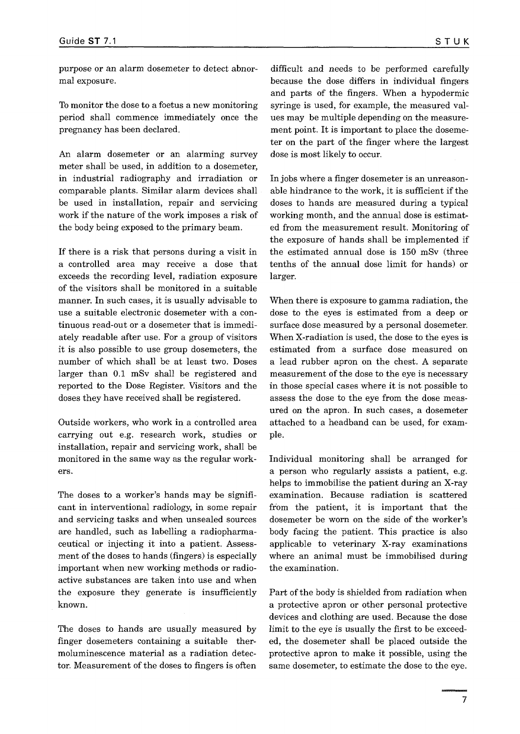purpose or an alarm dosemeter to detect abnormal exposure.

To monitor the dose to a foetus a new monitoring period shall commence immediately once the pregnancy has been declared.

An alarm dosemeter or an alarming survey meter shall be used, in addition to a dosemeter, in industrial radiography and irradiation or comparable plants. Similar alarm devices shall be used in installation, repair and servicing work if the nature of the work imposes a risk of the body being exposed to the primary beam.

If there is a risk that persons during a visit in a controlled area may receive a dose that exceeds the recording level, radiation exposure of the visitors shall be monitored in a suitable manner. In such cases, it is usually advisable to use a suitable electronic dosemeter with a continuous read-out or a dosemeter that is immediately readable after use. For a group of visitors *it* is also possible to use group dosemeters, the number of which shall be at least two. Doses larger than 0.1 mSv shall be registered and reported to the Dose Register. Visitors and the doses they have received shall be registered.

Outside workers, who work in a controlled area carrying out e.g. research work, studies or installation, repair and servicing work, shall be monitored in the same way as the regular workers.

The doses to a worker's hands may be significant in interventional radiology, in some repair and servicing tasks and when unsealed sources are handled, such as labelling a radiopharmaceutical or injecting it into a patient. Assessment of the doses to hands (fingers) is especially important when new working methods or radioactive substances are taken into use and when the exposure they generate is insufficiently known.

The doses to hands are usually measured by finger dosemeters containing a suitable thermoluminescence material as a radiation detector. Measurement of the doses to fingers is often

difficult and needs to be performed carefully because the dose differs in individual fingers and parts of the fingers. When a hypodermic syringe is used, for example, the measured values may be multiple depending on the measurement point. It is important to place the dosemeter on the part of the finger where the largest dose is most likely to occur.

In jobs where a finger dosemeter is an unreasonable hindrance to the work, it is sufficient if the doses to hands are measured during a typical working month, and the annual dose is estimated from the measurement result. Monitoring of the exposure of hands shall be implemented if the estimated annual dose is 150 mSv (three tenths of the annual dose limit for hands) or larger.

When there is exposure to gamma radiation, the dose to the eyes is estimated from a deep or surface dose measured by a personal dosemeter. When X-radiation is used, the dose to the eyes is estimated from a surface dose measured on a lead rubber apron on the chest. A separate measurement of the dose to the eye is necessary in those special cases where it is not possible to assess the dose to the eye from the dose measured on the apron. In such cases, a dosemeter attached to a headband can be used, for example.

Individual monitoring shall be arranged for a person who regularly assists a patient, e.g. helps to immobilise the patient during an X-ray examination. Because radiation is scattered from the patient, it is important that the dosemeter be worn on the side of the worker's body facing the patient. This practice is also applicable to veterinary X-ray examinations where an animal must be immobilised during the examination.

Part of the body is shielded from radiation when a protective apron or other personal protective devices and clothing are used. Because the dose limit to the eye is usually the first to be exceeded, the dosemeter shall be placed outside the protective apron to make it possible, using the same dosemeter, to estimate the dose to the eye.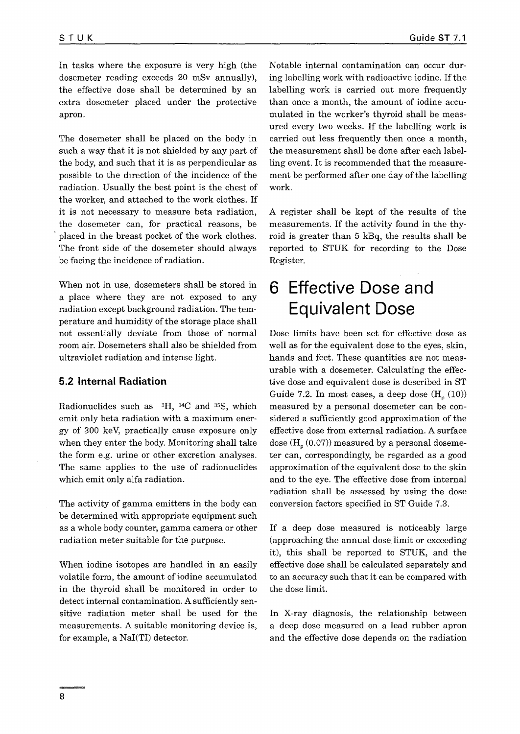In tasks where the exposure is very high (the dosemeter reading exceeds 20 mSv annually), the effective dose shall be determined by an extra dosemeter placed under the protective apron.

The dosemeter shall be placed on the body in such a way that it is not shielded by any part of the body, and such that it is as perpendicular as possible to the direction of the incidence of the radiation. Usually the best point is the chest of the worker, and attached to the work clothes. If it is not necessary to measure beta radiation, the dosemeter can, for practical reasons, be placed in the breast pocket of the work clothes. The front side of the dosemeter should always be facing the incidence of radiation.

When not in use, dosemeters shall be stored in a place where they are not exposed to any radiation except background radiation. The temperature and humidity of the storage place shall not essentially deviate from those of normal room air. Dosemeters shall also be shielded from ultraviolet radiation and intense light.

#### 5.2 Internal Radiation

Radionuclides such as <sup>3</sup>H, <sup>14</sup>C and <sup>35</sup>S, which emit only beta radiation with a maximum energy of 300 keV, practically cause exposure only when they enter the body. Monitoring shall take the form e.g. urine or other excretion analyses. The same applies to the use of radionuclides which emit only alfa radiation.

The activity of gamma emitters in the body can be determined with appropriate equipment such as a whole body counter, gamma camera or other radiation meter suitable for the purpose.

When iodine isotopes are handled in an easily volatile form, the amount of iodine accumulated in the thyroid shall be monitored in order to detect internal contamination. A sufficiently sensitive radiation meter shall be used for the measurements. A suitable monitoring device is, for example, a Nal(TI) detector.

Notable internal contamination can occur during labelling work with radioactive iodine. If the labelling work is carried out more frequently than once a month, the amount of iodine accumulated in the worker's thyroid shall be measured every two weeks. If the labelling work is carried out less frequently then once a month, the measurement shall be done after each labelling event. It is recommended that the measurement be performed after one day of the labelling work.

A register shall be kept of the results of the measurements. If the activity found in the thyroid is greater than 5 kBq, the results shall be reported to STUK for recording to the Dose Register.

## 6 Effective Dose and Equivalent Dose

Dose limits have been set for effective dose as well as for the equivalent dose to the eyes, skin, hands and feet. These quantities are not measurable with a dosemeter. Calculating the effective dose and equivalent dose is described in ST Guide 7.2. In most cases, a deep dose  $(H_p (10))$ measured by a personal dosemeter can be considered a sufficiently good approximation of the effective dose from external radiation. A surface dose  $(H_n (0.07))$  measured by a personal dosemeter can, correspondingly, be regarded as a good approximation of the equivalent dose to the skin and to the eye. The effective dose from internal radiation shall be assessed by using the dose conversion factors specified in ST Guide 7.3.

If a deep dose measured is noticeably large (approaching the annual dose limit or exceeding it), this shall be reported to STUK, and the effective dose shall be calculated separately and to an accuracy such that it can be compared with the dose limit.

In X-ray diagnosis, the relationship between a deep dose measured on a lead rubber apron and the effective dose depends on the radiation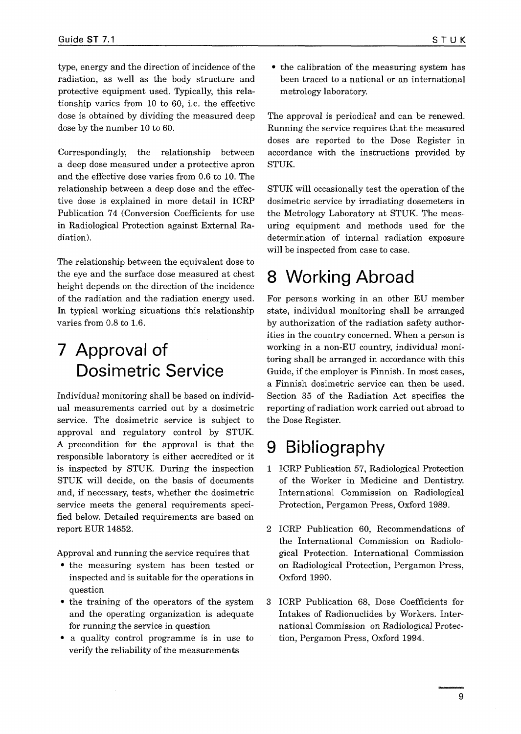type, energy and the direction of incidence of the radiation, as well as the body structure and protective equipment used. Typically, this relationship varies from 10 to 60, i.e. the effective dose is obtained by dividing the measured deep dose by the number 10 to 60.

Correspondingly, the relationship between a deep dose measured under a protective apron and the effective dose varies from 0.6 to 10. The relationship between a deep dose and the effective dose is explained in more detail in ICRP Publication 74 (Conversion Coefficients for use in Radiological Protection against External Radiation).

The relationship between the equivalent dose to the eye and the surface dose measured at chest height depends on the direction of the incidence of the radiation and the radiation energy used. In typical working situations this relationship varies from 0.8 to 1.6.

# 7 Approval of Dosimetric Service

Individual monitoring shall be based on individual measurements carried out by a dosimetric service. The dosimetric service is subject to approval and regulatory control by STUK. A precondition for the approval is that the responsible laboratory is either accredited or it is inspected by STUK. During the inspection STUK will decide, on the basis of documents and, if necessary, tests, whether the dosimetric service meets the general requirements specified below. Detailed requirements are based on report EUR 14852.

Approval and running the service requires that

- the measuring system has been tested or inspected and is suitable for the operations in question
- the training of the operators of the system and the operating organization is adequate for running the service in question
- a quality control programme is in use to verify the reliability of the measurements

• the calibration of the measuring system has been traced to a national or an international metrology laboratory.

The approval is periodical and can be renewed. Running the service requires that the measured doses are reported to the Dose Register in accordance with the instructions provided by STUK.

STUK will occasionally test the operation of the dosimetric service by irradiating dosemeters in the Metrology Laboratory at STUK. The measuring equipment and methods used for the determination of internal radiation exposure will be inspected from case to case.

# 8 Working Abroad

For persons working in an other EU member state, individual monitoring shall be arranged by authorization of the radiation safety authorities in the country concerned. When a person is working in a non-EU country, individual monitoring shall be arranged in accordance with this Guide, if the employer is Finnish. In most cases, a Finnish dosimetric service can then be used. Section 35 of the Radiation Act specifies the reporting of radiation work carried out abroad to the Dose Register.

# 9 Bibliography

- 1 ICRP Publication 57, Radiological Protection of the Worker in Medicine and Dentistry. International Commission on Radiological Protection, Pergamon Press, Oxford 1989.
- 2 ICRP Publication 60, Recommendations of the International Commission on Radiological Protection. International Commission on Radiological Protection, Pergamon Press, Oxford 1990.
- 3 ICRP Publication 68, Dose Coefficients for Intakes of Radionuclides by Workers. International Commission on Radiological Protection, Pergamon Press, Oxford 1994.